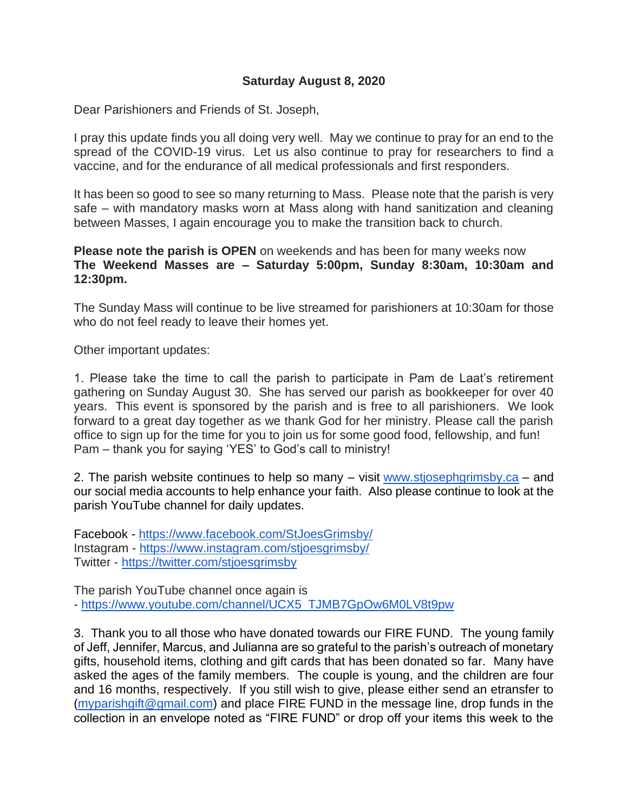## **Saturday August 8, 2020**

Dear Parishioners and Friends of St. Joseph,

I pray this update finds you all doing very well. May we continue to pray for an end to the spread of the COVID-19 virus. Let us also continue to pray for researchers to find a vaccine, and for the endurance of all medical professionals and first responders.

It has been so good to see so many returning to Mass. Please note that the parish is very safe – with mandatory masks worn at Mass along with hand sanitization and cleaning between Masses, I again encourage you to make the transition back to church.

**Please note the parish is OPEN** on weekends and has been for many weeks now **The Weekend Masses are – Saturday 5:00pm, Sunday 8:30am, 10:30am and 12:30pm.**

The Sunday Mass will continue to be live streamed for parishioners at 10:30am for those who do not feel ready to leave their homes yet.

Other important updates:

1. Please take the time to call the parish to participate in Pam de Laat's retirement gathering on Sunday August 30. She has served our parish as bookkeeper for over 40 years. This event is sponsored by the parish and is free to all parishioners. We look forward to a great day together as we thank God for her ministry. Please call the parish office to sign up for the time for you to join us for some good food, fellowship, and fun! Pam – thank you for saying 'YES' to God's call to ministry!

2. The parish website continues to help so many – visit [www.stjosephgrimsby.ca](http://www.stjosephgrimsby.ca/) – and our social media accounts to help enhance your faith. Also please continue to look at the parish YouTube channel for daily updates.

Facebook - <https://www.facebook.com/StJoesGrimsby/> Instagram - <https://www.instagram.com/stjoesgrimsby/> Twitter - <https://twitter.com/stjoesgrimsby>

The parish YouTube channel once again is - [https://www.youtube.com/channel/UCX5\\_TJMB7GpOw6M0LV8t9pw](https://www.youtube.com/channel/UCX5_TJMB7GpOw6M0LV8t9pw)

3. Thank you to all those who have donated towards our FIRE FUND. The young family of Jeff, Jennifer, Marcus, and Julianna are so grateful to the parish's outreach of monetary gifts, household items, clothing and gift cards that has been donated so far. Many have asked the ages of the family members. The couple is young, and the children are four and 16 months, respectively. If you still wish to give, please either send an etransfer to [\(myparishgift@gmail.com\)](mailto:myparishgift@gmail.com) and place FIRE FUND in the message line, drop funds in the collection in an envelope noted as "FIRE FUND" or drop off your items this week to the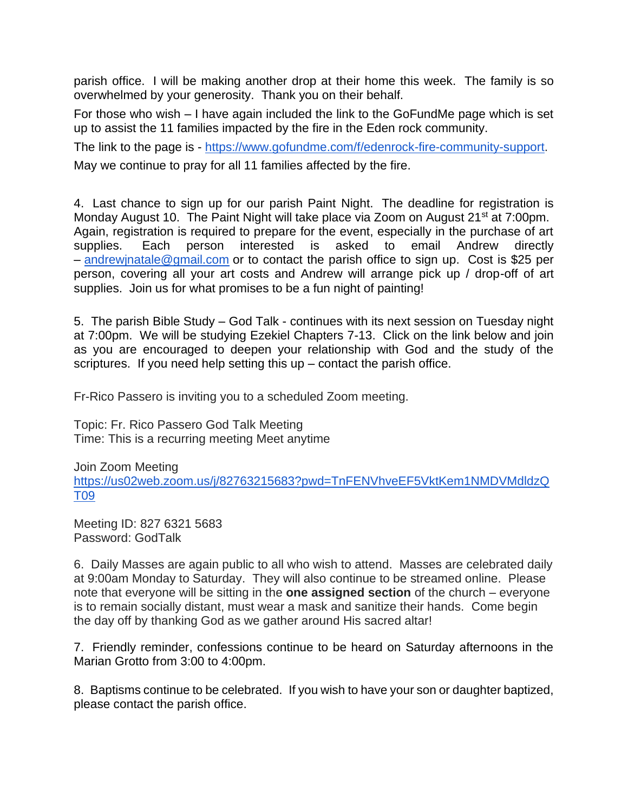parish office. I will be making another drop at their home this week. The family is so overwhelmed by your generosity. Thank you on their behalf.

For those who wish – I have again included the link to the GoFundMe page which is set up to assist the 11 families impacted by the fire in the Eden rock community.

The link to the page is - [https://www.gofundme.com/f/edenrock-fire-community-support.](https://www.gofundme.com/f/edenrock-fire-community-support) May we continue to pray for all 11 families affected by the fire.

4. Last chance to sign up for our parish Paint Night. The deadline for registration is Monday August 10. The Paint Night will take place via Zoom on August 21<sup>st</sup> at 7:00pm. Again, registration is required to prepare for the event, especially in the purchase of art supplies. Each person interested is asked to email Andrew directly – [andrewjnatale@gmail.com](mailto:andrewjnatale@gmail.com) or to contact the parish office to sign up. Cost is \$25 per person, covering all your art costs and Andrew will arrange pick up / drop-off of art supplies. Join us for what promises to be a fun night of painting!

5. The parish Bible Study – God Talk - continues with its next session on Tuesday night at 7:00pm. We will be studying Ezekiel Chapters 7-13. Click on the link below and join as you are encouraged to deepen your relationship with God and the study of the scriptures. If you need help setting this  $up$  – contact the parish office.

Fr-Rico Passero is inviting you to a scheduled Zoom meeting.

Topic: Fr. Rico Passero God Talk Meeting Time: This is a recurring meeting Meet anytime

Join Zoom Meeting [https://us02web.zoom.us/j/82763215683?pwd=TnFENVhveEF5VktKem1NMDVMdldzQ](https://us02web.zoom.us/j/82763215683?pwd=TnFENVhveEF5VktKem1NMDVMdldzQT09) [T09](https://us02web.zoom.us/j/82763215683?pwd=TnFENVhveEF5VktKem1NMDVMdldzQT09)

Meeting ID: 827 6321 5683 Password: GodTalk

6. Daily Masses are again public to all who wish to attend. Masses are celebrated daily at 9:00am Monday to Saturday. They will also continue to be streamed online. Please note that everyone will be sitting in the **one assigned section** of the church – everyone is to remain socially distant, must wear a mask and sanitize their hands. Come begin the day off by thanking God as we gather around His sacred altar!

7. Friendly reminder, confessions continue to be heard on Saturday afternoons in the Marian Grotto from 3:00 to 4:00pm.

8. Baptisms continue to be celebrated. If you wish to have your son or daughter baptized, please contact the parish office.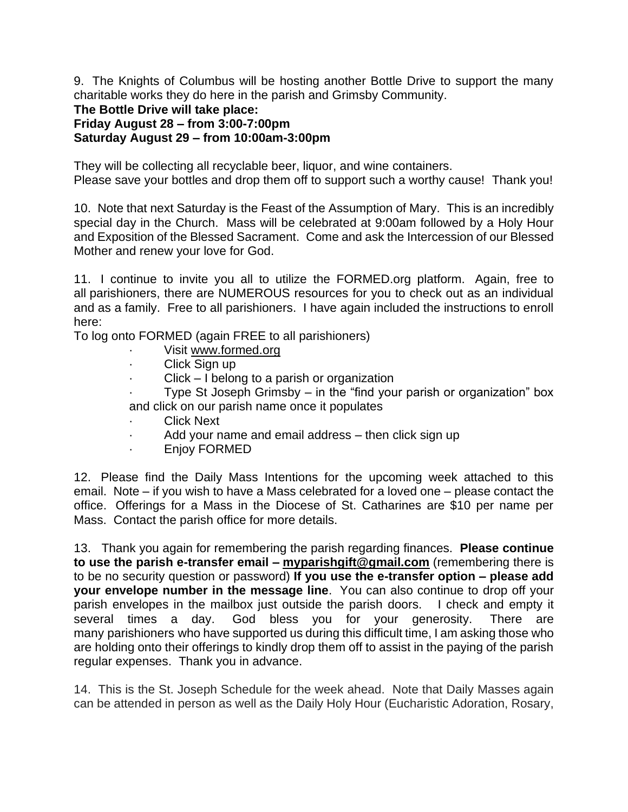9. The Knights of Columbus will be hosting another Bottle Drive to support the many charitable works they do here in the parish and Grimsby Community.

## **The Bottle Drive will take place: Friday August 28 – from 3:00-7:00pm Saturday August 29 – from 10:00am-3:00pm**

They will be collecting all recyclable beer, liquor, and wine containers. Please save your bottles and drop them off to support such a worthy cause! Thank you!

10. Note that next Saturday is the Feast of the Assumption of Mary. This is an incredibly special day in the Church. Mass will be celebrated at 9:00am followed by a Holy Hour and Exposition of the Blessed Sacrament. Come and ask the Intercession of our Blessed Mother and renew your love for God.

11. I continue to invite you all to utilize the FORMED.org platform. Again, free to all parishioners, there are NUMEROUS resources for you to check out as an individual and as a family. Free to all parishioners. I have again included the instructions to enroll here:

To log onto FORMED (again FREE to all parishioners)

- Visit [www.formed.org](http://www.formed.org/)
- · Click Sign up
- Click I belong to a parish or organization
- Type St Joseph Grimsby  $-$  in the "find your parish or organization" box and click on our parish name once it populates
- **Click Next**
- Add your name and email address then click sign up
- · Enjoy FORMED

12. Please find the Daily Mass Intentions for the upcoming week attached to this email. Note – if you wish to have a Mass celebrated for a loved one – please contact the office. Offerings for a Mass in the Diocese of St. Catharines are \$10 per name per Mass. Contact the parish office for more details.

13. Thank you again for remembering the parish regarding finances. **Please continue to use the parish e-transfer email – [myparishgift@gmail.com](mailto:myparishgift@gmail.com)** (remembering there is to be no security question or password) **If you use the e-transfer option – please add your envelope number in the message line**. You can also continue to drop off your parish envelopes in the mailbox just outside the parish doors. I check and empty it several times a day. God bless you for your generosity. There are many parishioners who have supported us during this difficult time, I am asking those who are holding onto their offerings to kindly drop them off to assist in the paying of the parish regular expenses. Thank you in advance.

14. This is the St. Joseph Schedule for the week ahead. Note that Daily Masses again can be attended in person as well as the Daily Holy Hour (Eucharistic Adoration, Rosary,